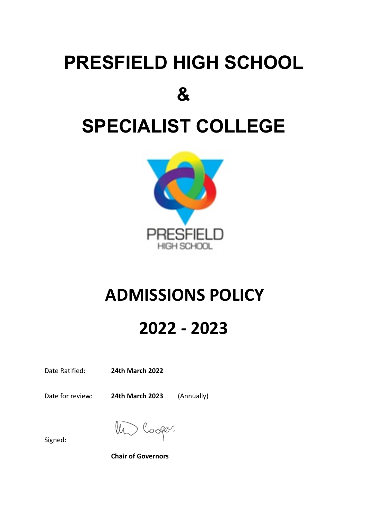# **PRESFIELD HIGH SCHOOL & SPECIALIST COLLEGE**



## **ADMISSIONS POLICY**

### **2022 - 2023**

Date Ratified: **24th March 2022**

Date for review: **24th March 2023** (Annually)

coper.

Signed:

**Chair of Governors**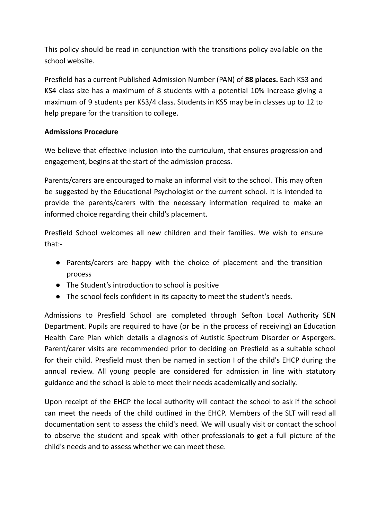This policy should be read in conjunction with the transitions policy available on the school website.

Presfield has a current Published Admission Number (PAN) of **88 places.** Each KS3 and KS4 class size has a maximum of 8 students with a potential 10% increase giving a maximum of 9 students per KS3/4 class. Students in KS5 may be in classes up to 12 to help prepare for the transition to college.

#### **Admissions Procedure**

We believe that effective inclusion into the curriculum, that ensures progression and engagement, begins at the start of the admission process.

Parents/carers are encouraged to make an informal visit to the school. This may often be suggested by the Educational Psychologist or the current school. It is intended to provide the parents/carers with the necessary information required to make an informed choice regarding their child's placement.

Presfield School welcomes all new children and their families. We wish to ensure that:-

- Parents/carers are happy with the choice of placement and the transition process
- The Student's introduction to school is positive
- The school feels confident in its capacity to meet the student's needs.

Admissions to Presfield School are completed through Sefton Local Authority SEN Department. Pupils are required to have (or be in the process of receiving) an Education Health Care Plan which details a diagnosis of Autistic Spectrum Disorder or Aspergers. Parent/carer visits are recommended prior to deciding on Presfield as a suitable school for their child. Presfield must then be named in section I of the child's EHCP during the annual review. All young people are considered for admission in line with statutory guidance and the school is able to meet their needs academically and socially.

Upon receipt of the EHCP the local authority will contact the school to ask if the school can meet the needs of the child outlined in the EHCP. Members of the SLT will read all documentation sent to assess the child's need. We will usually visit or contact the school to observe the student and speak with other professionals to get a full picture of the child's needs and to assess whether we can meet these.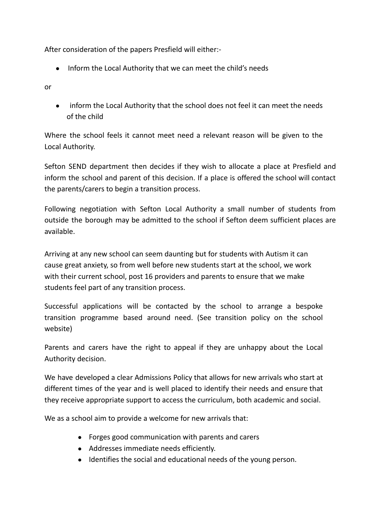After consideration of the papers Presfield will either:-

● Inform the Local Authority that we can meet the child's needs

or

● inform the Local Authority that the school does not feel it can meet the needs of the child

Where the school feels it cannot meet need a relevant reason will be given to the Local Authority.

Sefton SEND department then decides if they wish to allocate a place at Presfield and inform the school and parent of this decision. If a place is offered the school will contact the parents/carers to begin a transition process.

Following negotiation with Sefton Local Authority a small number of students from outside the borough may be admitted to the school if Sefton deem sufficient places are available.

Arriving at any new school can seem daunting but for students with Autism it can cause great anxiety, so from well before new students start at the school, we work with their current school, post 16 providers and parents to ensure that we make students feel part of any transition process.

Successful applications will be contacted by the school to arrange a bespoke transition programme based around need. (See transition policy on the school website)

Parents and carers have the right to appeal if they are unhappy about the Local Authority decision.

We have developed a clear Admissions Policy that allows for new arrivals who start at different times of the year and is well placed to identify their needs and ensure that they receive appropriate support to access the curriculum, both academic and social.

We as a school aim to provide a welcome for new arrivals that:

- Forges good communication with parents and carers
- Addresses immediate needs efficiently.
- Identifies the social and educational needs of the young person.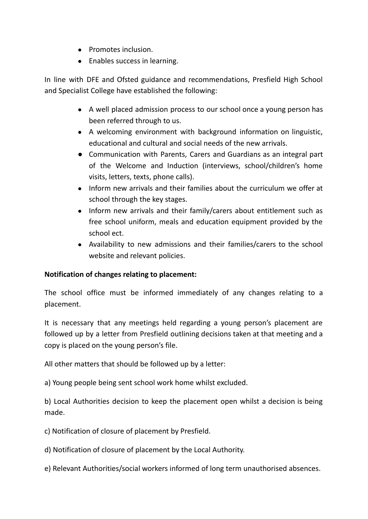- Promotes inclusion.
- Enables success in learning.

In line with DFE and Ofsted guidance and recommendations, Presfield High School and Specialist College have established the following:

- A well placed admission process to our school once a young person has been referred through to us.
- A welcoming environment with background information on linguistic, educational and cultural and social needs of the new arrivals.
- Communication with Parents, Carers and Guardians as an integral part of the Welcome and Induction (interviews, school/children's home visits, letters, texts, phone calls).
- Inform new arrivals and their families about the curriculum we offer at school through the key stages.
- Inform new arrivals and their family/carers about entitlement such as free school uniform, meals and education equipment provided by the school ect.
- Availability to new admissions and their families/carers to the school website and relevant policies.

### **Notification of changes relating to placement:**

The school office must be informed immediately of any changes relating to a placement.

It is necessary that any meetings held regarding a young person's placement are followed up by a letter from Presfield outlining decisions taken at that meeting and a copy is placed on the young person's file.

All other matters that should be followed up by a letter:

a) Young people being sent school work home whilst excluded.

b) Local Authorities decision to keep the placement open whilst a decision is being made.

c) Notification of closure of placement by Presfield.

d) Notification of closure of placement by the Local Authority.

e) Relevant Authorities/social workers informed of long term unauthorised absences.